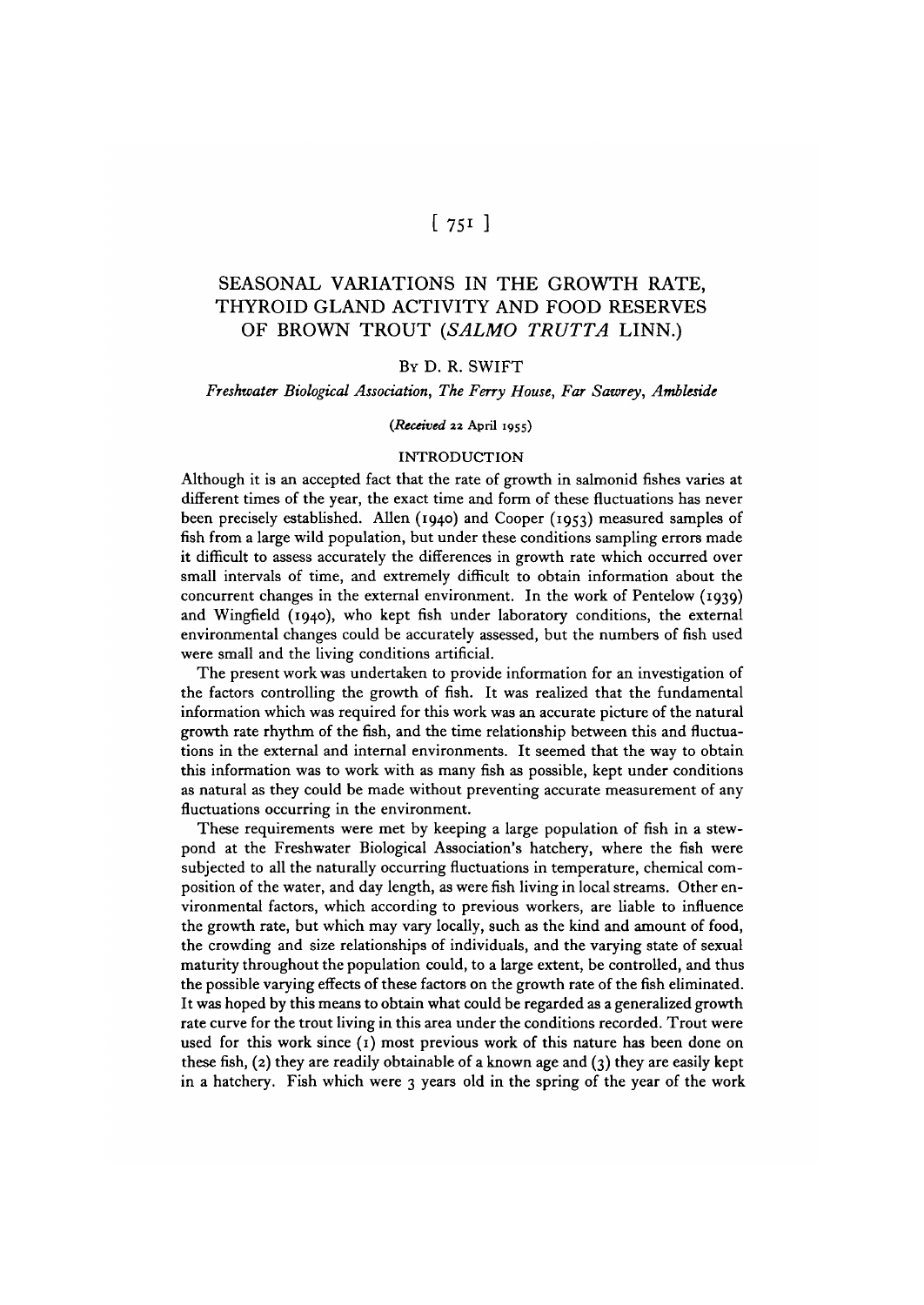# $\left[751\right]$

## SEASONAL VARIATIONS IN THE GROWTH RATE, THYROID GLAND ACTIVITY AND FOOD RESERVES OF BROWN TROUT *(SALMO TRUTTA* LINN.)

## BY D. R. SWIFT

#### *Freshwater Biological Association, The Ferry House, Far Sawrey, Ambleside*

#### *{Received* **22 April 1955)**

#### INTRODUCTION

Although it is an accepted fact that the rate of growth in salmonid fishes varies at different times of the year, the exact time and form of these fluctuations has never been precisely established. Allen (1940) and Cooper (1953) measured samples of fish from a large wild population, but under these conditions sampling errors made it difficult to assess accurately the differences in growth rate which occurred over small intervals of time, and extremely difficult to obtain information about the concurrent changes in the external environment. In the work of Pentelow (1939) and Wingfield (1940), who kept fish under laboratory conditions, the external environmental changes could be accurately assessed, but the numbers of fish used were small and the living conditions artificial.

The present work was undertaken to provide information for an investigation of the factors controlling the growth of fish. It was realized that the fundamental information which was required for this work was an accurate picture of the natural growth rate rhythm of the fish, and the time relationship between this and fluctuations in the external and internal environments. It seemed that the way to obtain this information was to work with as many fish as possible, kept under conditions as natural as they could be made without preventing accurate measurement of any fluctuations occurring in the environment.

These requirements were met by keeping a large population of fish in a stewpond at the Freshwater Biological Association's hatchery, where the fish were subjected to all the naturally occurring fluctuations in temperature, chemical composition of the water, and day length, as were fish living in local streams. Other environmental factors, which according to previous workers, are liable to influence the growth rate, but which may vary locally, such as the kind and amount of food, the crowding and size relationships of individuals, and the varying state of sexual maturity throughout the population could, to a large extent, be controlled, and thus the possible varying effects of these factors on the growth rate of the fish eliminated. It was hoped by this means to obtain what could be regarded as a generalized growth rate curve for the trout living in this area under the conditions recorded. Trout were used for this work since (1) most previous work of this nature has been done on these fish,  $(2)$  they are readily obtainable of a known age and  $(3)$  they are easily kept in a hatchery. Fish which were 3 years old in the spring of the year of the work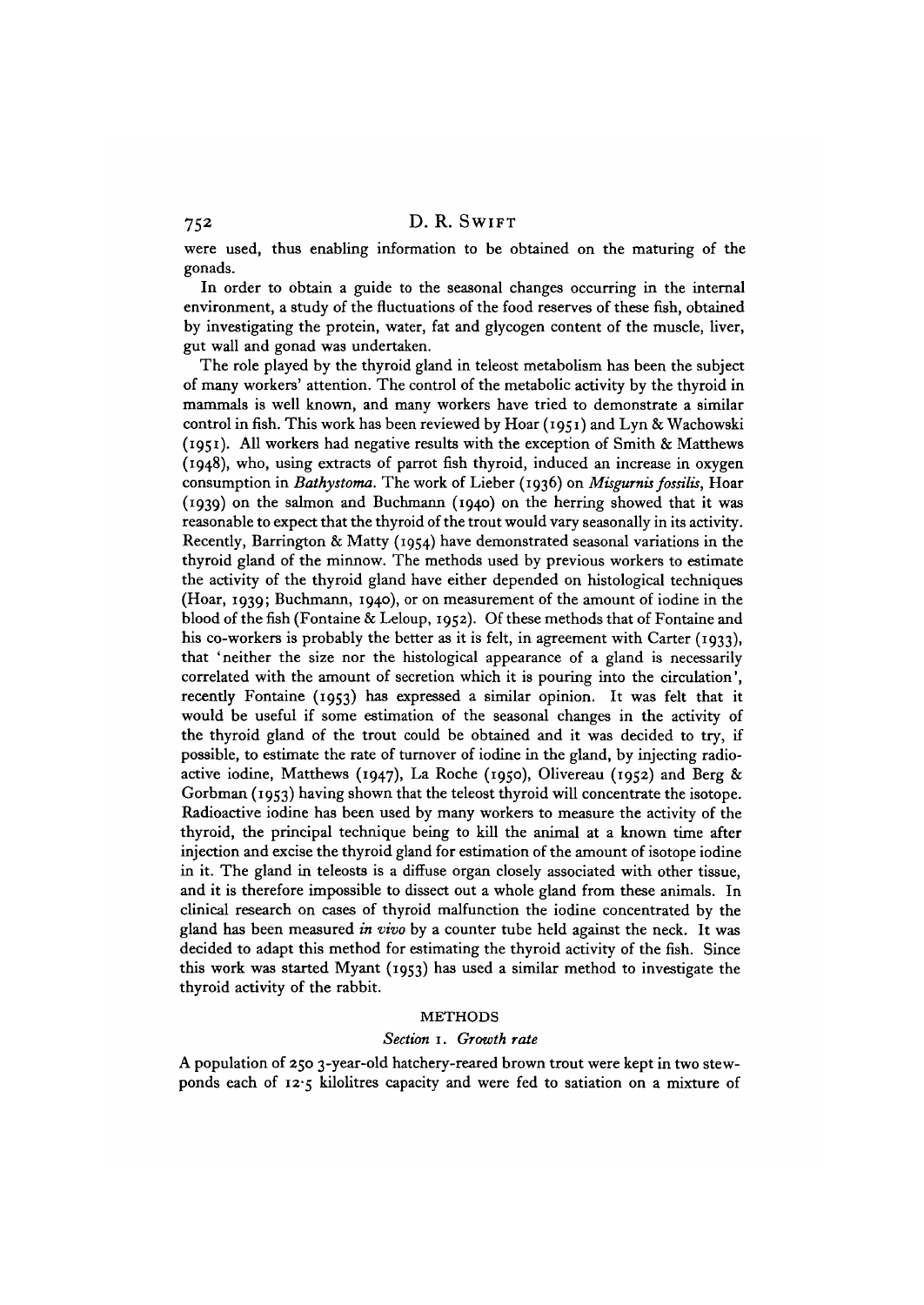were used, thus enabling information to be obtained on the maturing of the gonads.

In order to obtain a guide to the seasonal changes occurring in the internal environment, a study of the fluctuations of the food reserves of these fish, obtained by investigating the protein, water, fat and glycogen content of the muscle, liver, gut wall and gonad was undertaken.

The role played by the thyroid gland in teleost metabolism has been the subject of many workers' attention. The control of the metabolic activity by the thyroid in mammals is well known, and many workers have tried to demonstrate a similar control in fish. This work has been reviewed by Hoar (1951) and Lyn & Wachowski (1951). All workers had negative results with the exception of Smith & Matthews (1948), who, using extracts of parrot fish thyroid, induced an increase in oxygen consumption in *Bathystoma.* The work of Lieber (1936) on *Misgurnis fossilis,* Hoar (1939) on the salmon and Buchmann (1940) on the herring showed that it was reasonable to expect that the thyroid of the trout would vary seasonally in its activity. Recently, Barrington & Matty (1954) have demonstrated seasonal variations in the thyroid gland of the minnow. The methods used by previous workers to estimate the activity of the thyroid gland have either depended on histological techniques (Hoar, 1939; Buchmann, 1940), or on measurement of the amount of iodine in the blood of the fish (Fontaine & Leloup, 1952). Of these methods that of Fontaine and his co-workers is probably the better as it is felt, in agreement with Carter (1933), that 'neither the size nor the histological appearance of a gland is necessarily correlated with the amount of secretion which it is pouring into the circulation', recently Fontaine (1953) has expressed a similar opinion. It was felt that it would be useful if some estimation of the seasonal changes in the activity of the thyroid gland of the trout could be obtained and it was decided to try, if possible, to estimate the rate of turnover of iodine in the gland, by injecting radioactive iodine, Matthews (1947), La Roche (1950), Olivereau (1952) and Berg  $\&$ Gorbman (1953) having shown that the teleost thyroid will concentrate the isotope. Radioactive iodine has been used by many workers to measure the activity of the thyroid, the principal technique being to kill the animal at a known time after injection and excise the thyroid gland for estimation of the amount of isotope iodine in it. The gland in teleosts is a diffuse organ closely associated with other tissue, and it is therefore impossible to dissect out a whole gland from these animals. In clinical research on cases of thyroid malfunction the iodine concentrated by the gland has been measured *in vivo* by a counter tube held against the neck. It was decided to adapt this method for estimating the thyroid activity of the fish. Since this work was started Myant (1953) has used a similar method to investigate the thyroid activity of the rabbit.

#### METHODS

#### *Section* 1. *Growth rate*

A population of 250 3-year-old hatchery-reared brown trout were kept in two stewponds each of 12-5 kilolitres capacity and were fed to satiation on a mixture of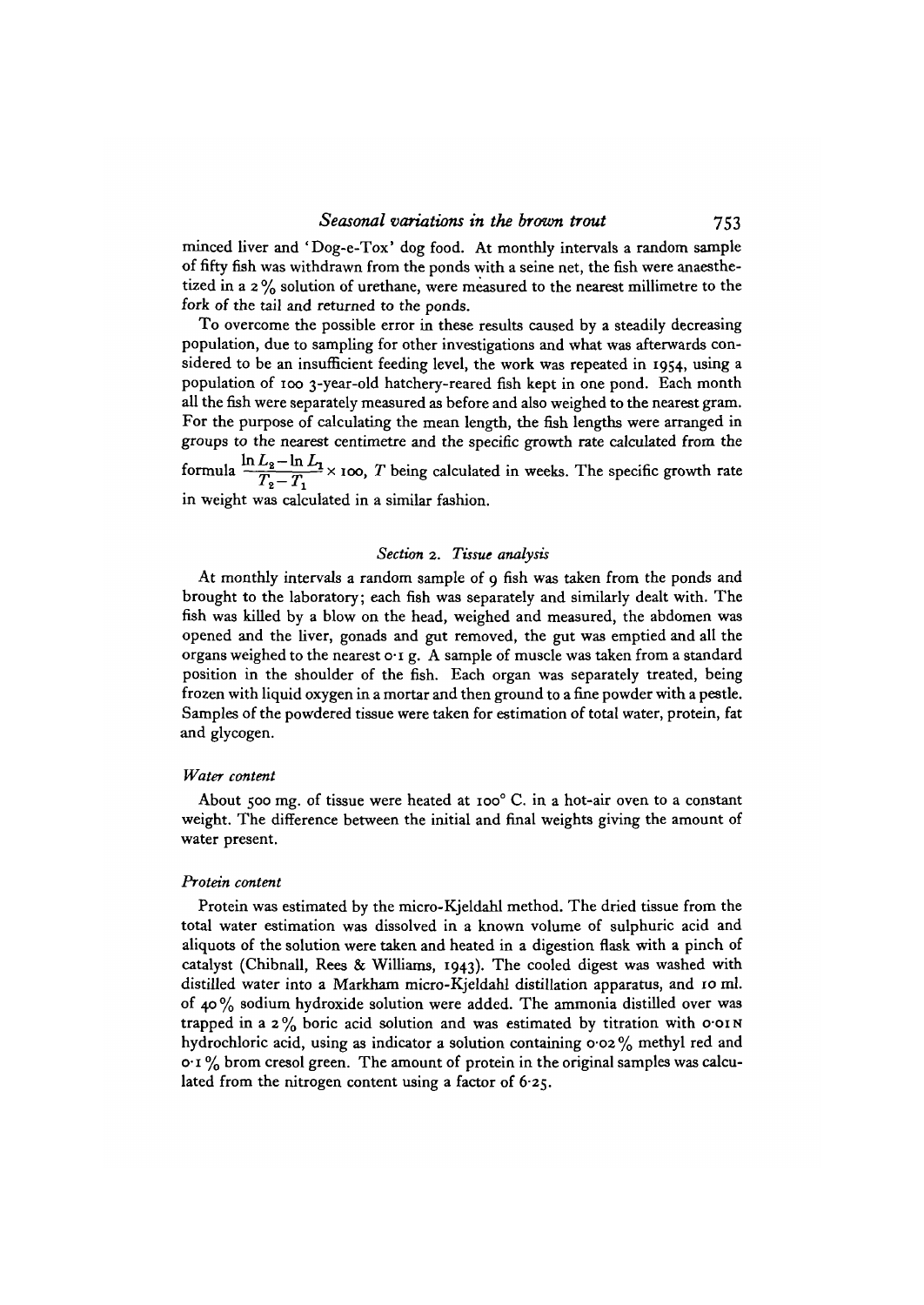minced liver and 'Dog-e-Tox' dog food. At monthly intervals a random sample of fifty fish was withdrawn from the ponds with a seine net, the fish were anaesthetized in a 2 % solution of urethane, were measured to the nearest millimetre to the fork of the tail and returned to the ponds.

To overcome the possible error in these results caused by a steadily decreasing population, due to sampling for other investigations and what was afterwards considered to be an insufficient feeding level, the work was repeated in 1954, using a population of 100 3-year-old hatchery-reared fish kept in one pond. Each month all the fish were separately measured as before and also weighed to the nearest gram. For the purpose of calculating the mean length, the fish lengths were arranged in groups to the nearest centimetre and the specific growth rate calculated from the formula  $\frac{\ln L_2 - \ln L_1}{T_2 - T_1}$  × 100, *T* being calculated in weeks. The specific growth rate

in weight was calculated in a similar fashion.

### *Section* 2. *Tissue analysis*

At monthly intervals a random sample of 9 fish was taken from the ponds and brought to the laboratory; each fish was separately and similarly dealt with. The fish was killed by a blow on the head, weighed and measured, the abdomen was opened and the liver, gonads and gut removed, the gut was emptied and all the organs weighed to the nearest o. I g. A sample of muscle was taken from a standard position in the shoulder of the fish. Each organ was separately treated, being frozen with liquid oxygen in a mortar and then ground to a fine powder with a pestle. Samples of the powdered tissue were taken for estimation of total water, protein, fat and glycogen.

#### *Water content*

About 500 mg. of tissue were heated at ioo° C. in a hot-air oven to a constant weight. The difference between the initial and final weights giving the amount of water present.

#### *Protein content*

Protein was estimated by the micro-Kjeldahl method. The dried tissue from the total water estimation was dissolved in a known volume of sulphuric acid and aliquots of the solution were taken and heated in a digestion flask with a pinch of catalyst (Chibnall, Rees & Williams, 1943). The cooled digest was washed with distilled water into a Markham micro-Kjeldahl distillation apparatus, and 10 ml. of 40 % sodium hydroxide solution were added. The ammonia distilled over was trapped in a  $2\%$  boric acid solution and was estimated by titration with o $\cdot$ OIN hydrochloric acid, using as indicator a solution containing 0-02 % methyl red and  $o \cdot 1$ % brom cresol green. The amount of protein in the original samples was calculated from the nitrogen content using a factor of 6-25.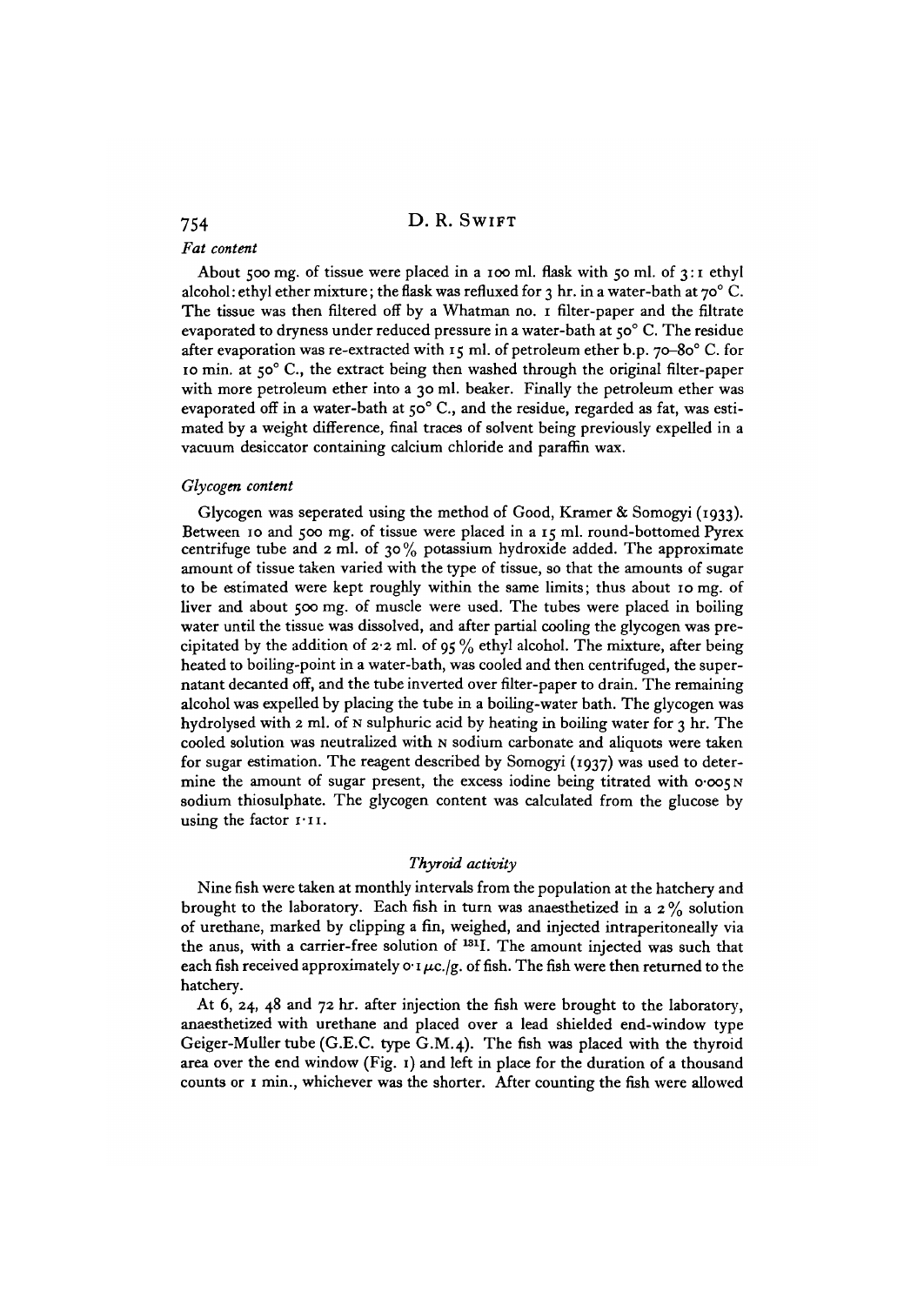#### *Fat content*

About 500 mg. of tissue were placed in a 100 ml. flask with 50 ml. of 3:1 ethyl alcohol: ethyl ether mixture; the flask was refluxed for 3 hr. in a water-bath at  $70^{\circ}$  C. The tissue was then filtered off by a Whatman no. 1 filter-paper and the filtrate evaporated to dryness under reduced pressure in a water-bath at  $50^{\circ}$  C. The residue after evaporation was re-extracted with 15 ml. of petroleum ether b.p. 70-80° C. for 10 min. at 50° C, the extract being then washed through the original filter-paper with more petroleum ether into a 30 ml. beaker. Finally the petroleum ether was evaporated off in a water-bath at 50° C., and the residue, regarded as fat, was estimated by a weight difference, final traces of solvent being previously expelled in a vacuum desiccator containing calcium chloride and paraffin wax.

#### *Glycogen content*

Glycogen was seperated using the method of Good, Kramer & Somogyi (1933). Between 10 and 500 mg. of tissue were placed in a 15 ml. round-bottomed Pyrex centrifuge tube and 2 ml. of 30 % potassium hydroxide added. The approximate amount of tissue taken varied with the type of tissue, so that the amounts of sugar to be estimated were kept roughly within the same limits; thus about 10 mg. of liver and about 500 mg. of muscle were used. The tubes were placed in boiling water until the tissue was dissolved, and after partial cooling the glycogen was precipitated by the addition of 2.2 ml. of 95  $\%$  ethyl alcohol. The mixture, after being heated to boiling-point in a water-bath, was cooled and then centrifuged, the supernatant decanted off, and the tube inverted over filter-paper to drain. The remaining alcohol was expelled by placing the tube in a boiling-water bath. The glycogen was hydrolysed with 2 ml. of N sulphuric acid by heating in boiling water for 3 hr. The cooled solution was neutralized with N sodium carbonate and aliquots were taken for sugar estimation. The reagent described by Somogyi (1937) was used to determine the amount of sugar present, the excess iodine being titrated with  $0.005N$ sodium thiosulphate. The glycogen content was calculated from the glucose by using the factor  $1.11$ .

#### *Thyroid activity*

Nine fish were taken at monthly intervals from the population at the hatchery and brought to the laboratory. Each fish in turn was anaesthetized in a  $2\%$  solution of urethane, marked by clipping a fin, weighed, and injected intraperitoneally via the anus, with a carrier-free solution of <sup>181</sup>I. The amount injected was such that each fish received approximately  $\sigma \cdot \mu c$ ./g. of fish. The fish were then returned to the hatchery.

At 6, 24, 48 and 72 hr. after injection the fish were brought to the laboratory, anaesthetized with urethane and placed over a lead shielded end-window type Geiger-Muller tube (G.E.C. type G.M.4). The fish was placed with the thyroid area over the end window (Fig. 1) and left in place for the duration of a thousand counts or 1 min., whichever was the shorter. After counting the fish were allowed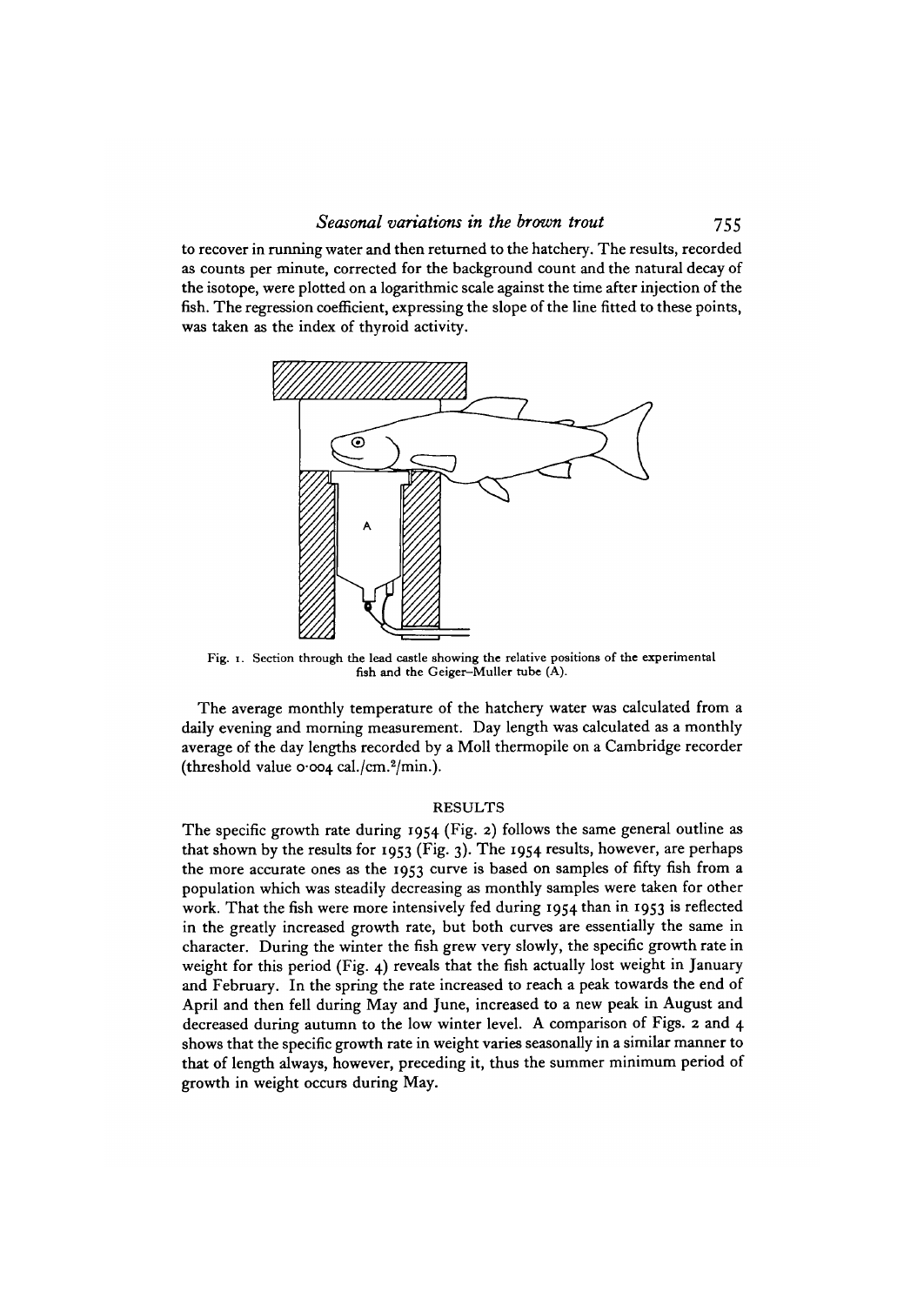to recover in running water and then returned to the hatchery. The results, recorded as counts per minute, corrected for the background count and the natural decay of the isotope, were plotted on a logarithmic scale against the time after injection of the fish. The regression coefficient, expressing the slope of the line fitted to these points, was taken as the index of thyroid activity.



Fig. i. Section through the lead castle showing the relative positions of the experimental fish and the Geiger-Muller tube (A).

The average monthly temperature of the hatchery water was calculated from a daily evening and morning measurement. Day length was calculated as a monthly average of the day lengths recorded by a Moll thermopile on a Cambridge recorder (threshold value 0.004 cal./cm.<sup>2</sup>/min.).

### RESULTS

The specific growth rate during 1954 (Fig. 2) follows the same general outline as that shown by the results for 1953 (Fig. 3). The 1954 results, however, are perhaps the more accurate ones as the 1953 curve is based on samples of fifty fish from a population which was steadily decreasing as monthly samples were taken for other work. That the fish were more intensively fed during 1954 than in 1953 is reflected in the greatly increased growth rate, but both curves are essentially the same in character. During the winter the fish grew very slowly, the specific growth rate in weight for this period (Fig. 4) reveals that the fish actually lost weight in January and February. In the spring the rate increased to reach a peak towards the end of April and then fell during May and June, increased to a new peak in August and decreased during autumn to the low winter level. A comparison of Figs. 2 and 4 shows that the specific growth rate in weight varies seasonally in a similar manner to that of length always, however, preceding it, thus the summer minimum period of growth in weight occurs during May.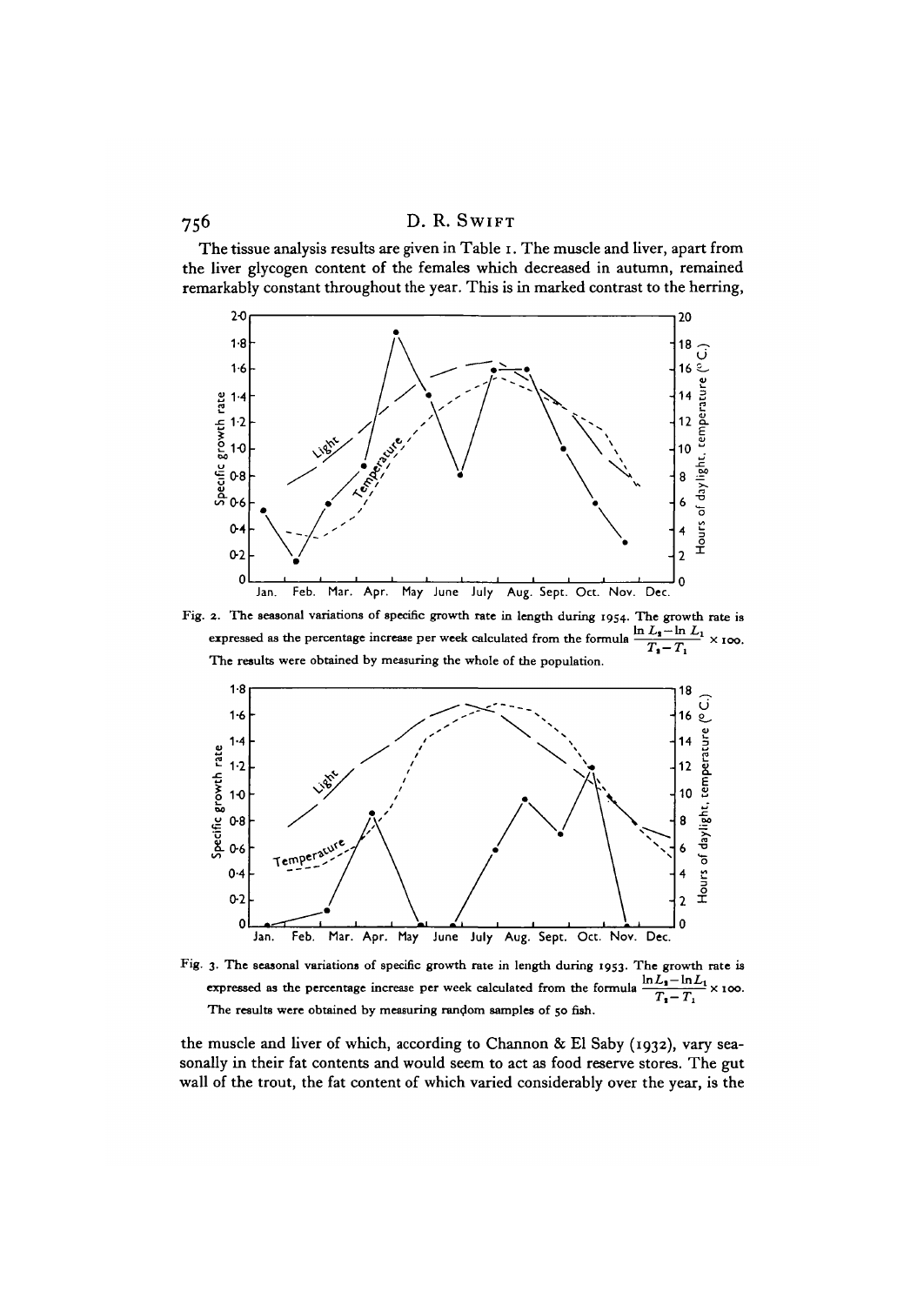The tissue analysis results are given in Table i. The muscle and liver, apart from the liver glycogen content of the females which decreased in autumn, remained remarkably constant throughout the year. This is in marked contrast to the herring,



Fig. 2. The seasonal variations of specific growth rate in length during 1954. The growth rate is expressed as the percentage increase per week calculated from the formula  $\frac{m_1\ldots n_{-1}}{T_1-T_1} \times \infty$ .<br>The results were obtained by measuring the whole of the population.



Fig. 3. The seasonal variations of specific growth rate in length during 1953. The growth rate is expressed as the percentage increase per week calculated from the formula  $\frac{\ln L_1 - \ln L_1}{T - T} \times 100$ . expressed as the percentage increase per week calculated from the formula  $T_{1}-T_{1}$ The results were obtained by measuring random samples of 50 fish.

the muscle and liver of which, according to Channon & El Saby (1932), vary seasonally in their fat contents and would seem to act as food reserve stores. The gut wall of the trout, the fat content of which varied considerably over the year, is the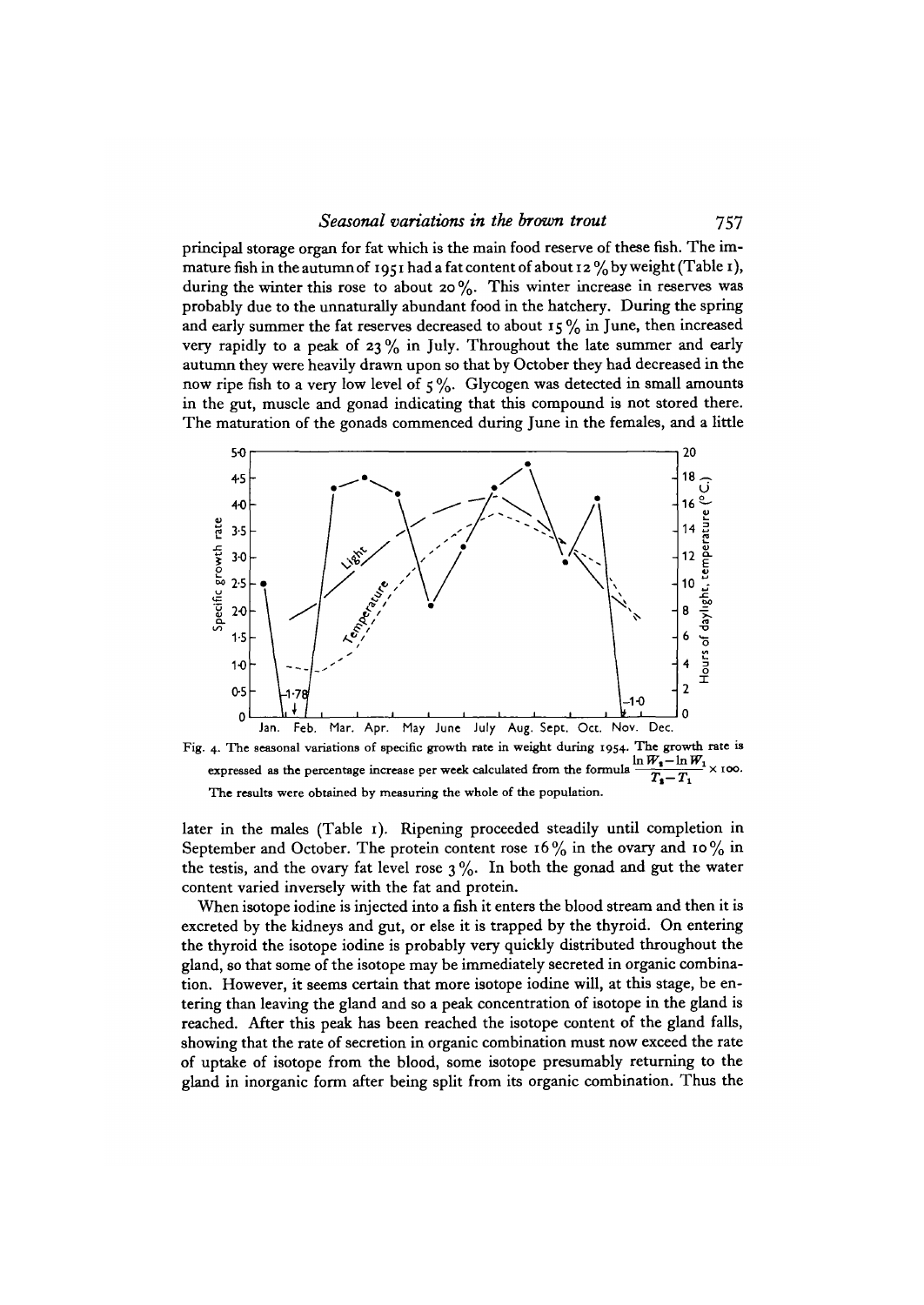principal storage organ for fat which is the main food reserve of these fish. The immature fish in the autumn of 1951 had a fat content of about 12  $\%$  by weight (Table 1), during the winter this rose to about 20%. This winter increase in reserves was probably due to the unnaturally abundant food in the hatchery. During the spring and early summer the fat reserves decreased to about  $15\%$  in June, then increased very rapidly to a peak of  $23\%$  in July. Throughout the late summer and early autumn they were heavily drawn upon so that by October they had decreased in the now ripe fish to a very low level of  $5\%$ . Glycogen was detected in small amounts in the gut, muscle and gonad indicating that this compound is not stored there. The maturation of the gonads commenced during June in the females, and a little



Fig. 4. The seasonal variations of specific growth rate in weight during 1954. The growth rate is<br>
approximately as the parameters increase par weak coloulated from the formula  $\frac{\ln W_1 - \ln W_1}{\ln W_2} \times 100$ expressed as the percentage increase per week calculated from the formula  $\frac{\ln n_1 - \ln n_1}{T_1 - T_1} \times 100$ . The results were obtained by measuring the whole of the population.

later in the males (Table 1). Ripening proceeded steadily until completion in September and October. The protein content rose  $16\%$  in the ovary and  $10\%$  in the testis, and the ovary fat level rose  $3\%$ . In both the gonad and gut the water content varied inversely with the fat and protein.

When isotope iodine is injected into a fish it enters the blood stream and then it is excreted by the kidneys and gut, or else it is trapped by the thyroid. On entering the thyroid the isotope iodine is probably very quickly distributed throughout the gland, so that some of the isotope may be immediately secreted in organic combination. However, it seems certain that more isotope iodine will, at this stage, be entering than leaving the gland and so a peak concentration of isotope in the gland is reached. After this peak has been reached the isotope content of the gland falls, showing that the rate of secretion in organic combination must now exceed the rate of uptake of isotope from the blood, some isotope presumably returning to the gland in inorganic form after being split from its organic combination. Thus the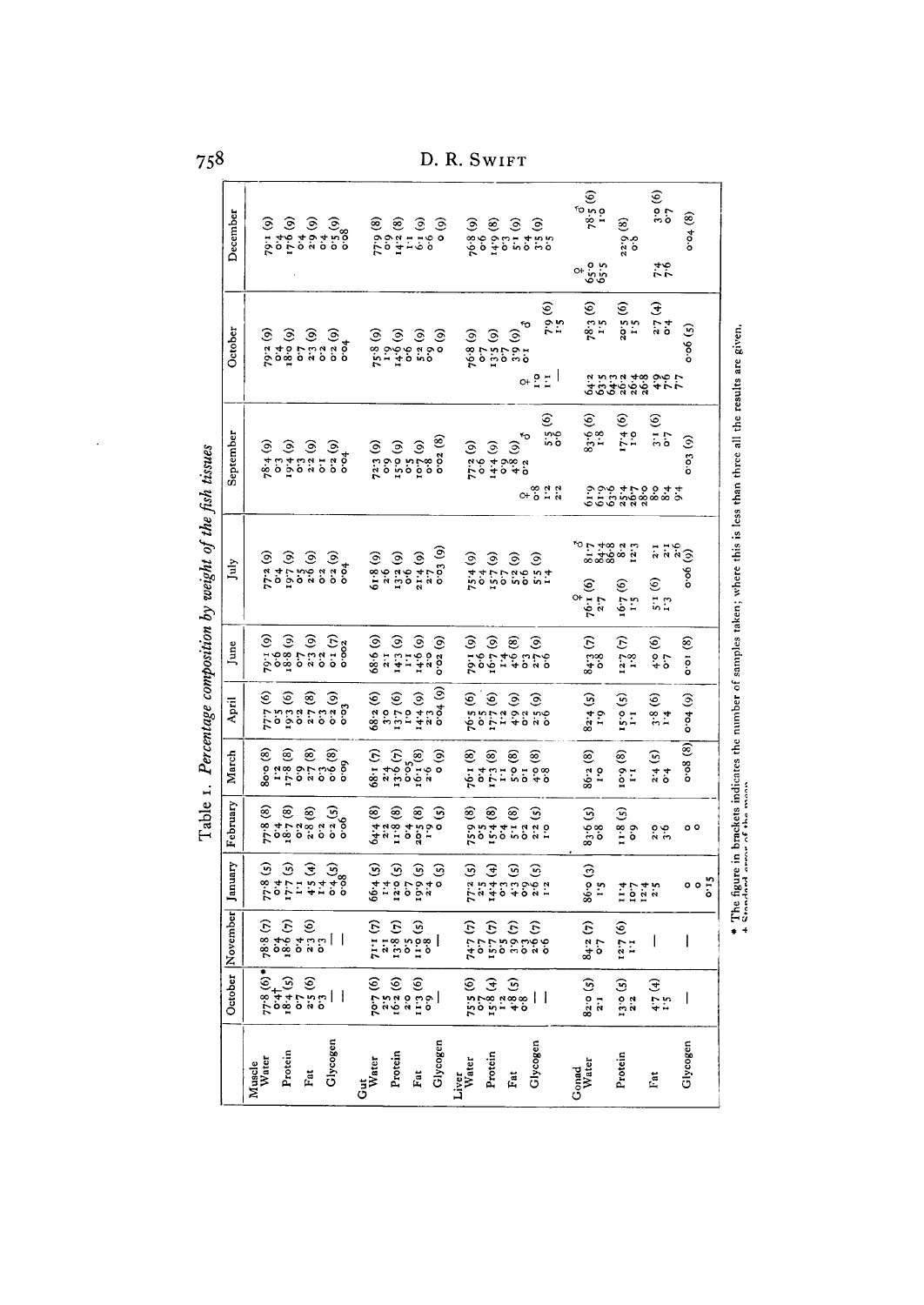D. R. SWIFT

| December         | 79.1.61         | 9.49                                                                                                                                                                                                                                                                                                                           | $\widehat{\mathcal{S}}$ | $6.68$<br>$6.29$                                                    |                                   | $\begin{smallmatrix} 6 & 4 & 0 \\ 2 & 5 & 0 \\ 0 & 0 & 0 \\ 0 & 0 & 0 \end{smallmatrix}$ | 77.9(8)                                                                                                                                                                                                                                                                                                       | 14.2(8)                                                               | $\ddot{ }$                   | $6.1(0)$<br>$6.3(0)$            | $\hat{\mathbf{e}}$                                                               | $\widehat{\mathcal{S}}$<br>76.8 | ەّ                                                                 | $\begin{array}{c} 14.9 \\ 0.3 \\ 5.1 \\ 6) \end{array}$ |                                                                                     | $0.4$<br>$0.55$<br>$0.52$                                                           | $78.5(6)$ <sup>3</sup>                                             | ම<br>$\frac{32.56}{0.56}$                               | $\frac{3.0}{0.7}$ (6)<br>46<br>77                             | 0.94(8)                                                                     |                                                                                                                                                         |
|------------------|-----------------|--------------------------------------------------------------------------------------------------------------------------------------------------------------------------------------------------------------------------------------------------------------------------------------------------------------------------------|-------------------------|---------------------------------------------------------------------|-----------------------------------|------------------------------------------------------------------------------------------|---------------------------------------------------------------------------------------------------------------------------------------------------------------------------------------------------------------------------------------------------------------------------------------------------------------|-----------------------------------------------------------------------|------------------------------|---------------------------------|----------------------------------------------------------------------------------|---------------------------------|--------------------------------------------------------------------|---------------------------------------------------------|-------------------------------------------------------------------------------------|-------------------------------------------------------------------------------------|--------------------------------------------------------------------|---------------------------------------------------------|---------------------------------------------------------------|-----------------------------------------------------------------------------|---------------------------------------------------------------------------------------------------------------------------------------------------------|
| October          | ତି<br>79.2      | $\begin{pmatrix} 6 & 4 \\ 18 & 0 \\ 0 & 7 \end{pmatrix}$                                                                                                                                                                                                                                                                       |                         | 2.3(9)                                                              |                                   | $\frac{6.5}{3.04}$                                                                       | $75.8 (9, 1.9)(9, 1.9)(9)$<br>1.9 (9)                                                                                                                                                                                                                                                                         |                                                                       |                              |                                 | $\odot$<br>$\begin{matrix}6 & 0 \\ 0 & 0 \\ 0 & 0 \\ 0 & 0 \end{matrix}$         | 76.8(9)                         | c.o                                                                |                                                         | ۴о<br>$\frac{13.5}{0.3}$<br>$\frac{9}{0.3}$<br>$\frac{3}{0}$<br>$\frac{3}{0}$<br>O+ | $7.9(6)$<br>$1.5$<br>유민                                                             | ್ಲಲ್ಲೊ<br>ಅಲ್ಲಿ<br>$78.3(6)$<br>$1.5$                              | $\widehat{\mathbf{e}}$<br>2.05                          | 2.7(4)<br>9999999999777                                       | $\cos(5)$                                                                   |                                                                                                                                                         |
| September        |                 | $78.4$ (9)<br>$9.3$ (9)<br>$9.4$ (9)<br>$9.3$ (9)<br>$9.3$ (9)                                                                                                                                                                                                                                                                 |                         |                                                                     | $\ddot{\circ}$                    | 6.52(0)                                                                                  | $\widehat{\circ}$<br>72.3                                                                                                                                                                                                                                                                                     | $(6)$ o $51$<br>$\ddot{\circ}$                                        |                              | $\frac{6}{25}$<br>$\frac{2}{2}$ | 0.02(8)<br>$\ddot{\circ}$                                                        | 77.2(9)                         | 14.4(9)                                                            |                                                         | ۴0<br>$\widehat{\circ}$<br>ဝတ္ ဗို<br>၁ <del>ပု</del> ံ ဝ<br>О+                     | $\widehat{\mathfrak{S}}$<br>in 0<br>0 0<br>8.38                                     | $\widehat{\mathfrak{S}}$<br>$\frac{5}{3}$                          | $\widehat{\varepsilon}$<br>$17.4$<br>$7.79$             | $\widehat{\mathfrak{S}}$<br>$\frac{1}{2}$                     | $\cos(6)$                                                                   | * The figure in brackets indicates the number of samples taken; where this is less than three all the results are given<br>+ Stendard error of the mean |
| July             | 77.2(9)         | $\frac{4}{5}$                                                                                                                                                                                                                                                                                                                  |                         | $\begin{pmatrix} 6 & 2 & 2 \\ 2 & 2 & 6 \\ 6 & 2 & 6 \end{pmatrix}$ | $\frac{6 \cdot 2}{6 \cdot 2}$ (9) | $\frac{4}{3}$                                                                            | $\widehat{\circ}$<br>61.8                                                                                                                                                                                                                                                                                     | 2.6                                                                   | $\frac{13 \cdot 2 (9)}{0.6}$ | $(6)$ $\frac{2.2}{5.2}$         | $\frac{1}{2}$                                                                    | 75.4(9)                         | $\dot{\bullet}$                                                    |                                                         | $\begin{array}{c} 157(9) \\ 0 \\ 57(9) \\ 58(9) \end{array}$                        | $5.5(9)$<br>$1.4$                                                                   | 5288552<br>528852<br>$\widehat{\mathbf{e}}$<br>О+<br>$76.1$<br>2.7 | $\widehat{\mathbf{e}}$<br><b>Le.91</b><br>$\frac{5}{1}$ | 2.1<br>$\frac{1}{2}$<br>$\widehat{\epsilon}$<br>$\frac{5}{1}$ | $e^{i\theta}$<br>0.00                                                       |                                                                                                                                                         |
| June             |                 | $\begin{pmatrix} 6 & 3 & 6 \\ 0 & 3 & 6 \\ 0 & 0 & 1.6 \end{pmatrix}$                                                                                                                                                                                                                                                          | $\overline{\mathbf{c}}$ | $2.3(9)$<br>$0.2$                                                   |                                   | (2) 1.0                                                                                  | (69, 89)                                                                                                                                                                                                                                                                                                      | $\frac{1}{2}$                                                         | $143(9)$<br>$11$             | (6)9.71                         | 0.02(9)<br>2.5                                                                   |                                 | $(6)$<br>$2,00$<br>$(6)$<br>$1,64$                                 |                                                         |                                                                                     | $\frac{1}{1}$ $\frac{1}{7}$ $\frac{6}{7}$ $\frac{6}{7}$ $\frac{6}{7}$ $\frac{6}{7}$ | 84.3(7)                                                            | $\frac{12.7}{1.8}$ (7)                                  | $\frac{4.5}{0.2}$                                             | $\frac{8}{10}$                                                              |                                                                                                                                                         |
| April            |                 | $777(6)$<br>$0.55(6)$<br>$0.32(6)$                                                                                                                                                                                                                                                                                             |                         | 2.7(8)                                                              |                                   | ်<br>၁၁၀<br>၁၁၁<br>၁၁၁                                                                   | 68.2(6)                                                                                                                                                                                                                                                                                                       | 13.7(6)<br>$\frac{6}{5}$                                              | $\frac{6}{1}$                | 14.4(9)                         | $\overline{6}$ ( $\overline{6}$ )<br>2.3                                         |                                 | $76.5(6)$<br>$9.5.94$                                              | $\frac{3}{4}$                                           | $\widehat{\circ}$                                                                   | $\widehat{\circ}$<br>a<br>0 ii 0<br>0 ii 0                                          | $82.4 (5)$<br>1.9                                                  | ම<br>$\frac{6}{5}$ $\frac{1}{1}$                        | ତି<br>3.4                                                     | $60 + 60$                                                                   |                                                                                                                                                         |
| March            | 80.0 (8)        | $17.8$ (8)                                                                                                                                                                                                                                                                                                                     |                         |                                                                     |                                   | ္<br>၁၄<br>၁၄၁၄<br>၁၀၀၀                                                                  | (2)1.89                                                                                                                                                                                                                                                                                                       | $x_1^2$<br>$x_2^3$<br>$x_3^3$<br>$x_4^3$<br>$x_5^3$<br>$x_6$<br>$x_7$ |                              |                                 | $\hat{e}$                                                                        | 76.1 (8)                        | $\begin{array}{c} 0.74 \\ 0.3 \\ 0.173 \end{array}$                |                                                         | $5^\circ$ (8)                                                                       | ⊛<br>$\frac{0}{4}$ $\frac{\infty}{6}$                                               | ⊛<br>$86.2$<br>1.98                                                | $\frac{10.06}{1.1}$                                     | 2.4(5)                                                        | $\cos(8)$                                                                   |                                                                                                                                                         |
| February         |                 |                                                                                                                                                                                                                                                                                                                                |                         |                                                                     |                                   |                                                                                          | 64.4(8)                                                                                                                                                                                                                                                                                                       | $\frac{2 \cdot 2}{11 \cdot 8}$ (8)                                    |                              |                                 | $\begin{pmatrix} 0 & 1 & 0 \\ 0 & 0 & 1 \\ 0 & 0 & 0 \\ 0 & 0 & 0 \end{pmatrix}$ | ම                               | ම                                                                  |                                                         | ම                                                                                   | ૭<br>vo vo vo v v<br>Obrtitus do                                                    | 83.6(5)                                                            | 11.8 <sub>5</sub>                                       | $\frac{3.6}{3.6}$                                             | ٥٥                                                                          |                                                                                                                                                         |
| January          | ଇ               | ୕ୖୖ<br>$\frac{1}{8}$<br>$\frac{1}{8}$<br>$\frac{1}{8}$<br>$\frac{1}{8}$                                                                                                                                                                                                                                                        |                         | $\widehat{\mathcal{F}}$                                             |                                   | ୕ୖ୶<br>$5.478$<br>$7.78$<br>$7.78$                                                       | $\widehat{\mathbf{e}}$<br>$\hat{e}$ - $\vec{a}$ , $\vec{e}$ , $\vec{e}$ , $\vec{e}$                                                                                                                                                                                                                           | তি                                                                    |                              | ্দি                             | $\widehat{\mathcal{S}}$                                                          | ৣ                               | €                                                                  |                                                         | লি                                                                                  | ଼ିକ<br>5.94040969                                                                   | নি<br>86.5                                                         | $10740$<br>$10740$                                      |                                                               | $\begin{smallmatrix} 0 & 0 & 0 \\ 0 & 0 & 0 \\ 0 & 0 & 0 \end{smallmatrix}$ |                                                                                                                                                         |
| October November |                 | $\begin{bmatrix} 6 & 6 & 6 \\ 1 & 1 & 1 & 6 \\ 1 & 1 & 1 & 6 \\ 1 & 1 & 1 & 6 \\ 1 & 1 & 1 & 8 \\ 1 & 1 & 1 & 8 \\ 1 & 1 & 1 & 8 \\ 1 & 1 & 1 & 8 \\ 1 & 1 & 1 & 8 \\ 1 & 1 & 1 & 8 \\ 1 & 1 & 1 & 8 \\ 1 & 1 & 1 & 9 \\ 1 & 1 & 1 & 1 & 8 \\ 1 & 1 & 1 & 1 & 8 \\ 1 & 1 & 1 & 1 & 8 \\ 1 & 1 & 1 & 1 & 8 \\ 1 & 1 & 1 & 1 & $ |                         |                                                                     |                                   |                                                                                          |                                                                                                                                                                                                                                                                                                               |                                                                       |                              |                                 |                                                                                  |                                 |                                                                    |                                                         |                                                                                     | $(3, 3, 5)$<br>$(4, 3, 7, 7)$<br>$(5, 6, 7, 7)$<br>$(6, 7, 7)$                      | 84.2(7)                                                            | $\frac{12}{7}$ (6)                                      | I                                                             |                                                                             |                                                                                                                                                         |
|                  |                 | $7,8$<br>$6,9$<br>$6,9$<br>$6,9$<br>$6,9$<br>$6,9$<br>$6,9$<br>$6,9$<br>$6,9$<br>$6,9$<br>$6,9$<br>$6,9$<br>$6,9$<br>$6,9$<br>$6,9$<br>$6,9$<br>$6,9$<br>$6,9$<br>$6,9$<br>$6,9$<br>$6,9$<br>$6,9$<br>$6,9$<br>$6,9$<br>                                                                                                       |                         |                                                                     |                                   |                                                                                          | $\begin{array}{c} 2.76 \\ 2.76 \\ 2.76 \\ 2.76 \\ 2.76 \\ 2.76 \\ 2.76 \\ 2.76 \\ 2.76 \\ 2.76 \\ 2.76 \\ 2.76 \\ 2.76 \\ 2.76 \\ 2.76 \\ 2.76 \\ 2.76 \\ 2.76 \\ 2.76 \\ 2.76 \\ 2.76 \\ 2.76 \\ 2.76 \\ 2.76 \\ 2.76 \\ 2.76 \\ 2.76 \\ 2.76 \\ 2.76 \\ 2.76 \\ 2.76 \\ 2.76 \\ 2.76 \\ 2.76 \\ 2.76 \\ 2.$ |                                                                       |                              |                                 |                                                                                  |                                 | $75.8$<br>$15.8$<br>$15.8$<br>$13.8$<br>$15.8$<br>$15.8$<br>$15.8$ |                                                         |                                                                                     |                                                                                     | $82.0 (5)$<br>$2.1$                                                | $13.0(5)$<br>$2.2$                                      | $4.7(4)$<br>1.5                                               |                                                                             |                                                                                                                                                         |
|                  | Muscle<br>Water | Protein                                                                                                                                                                                                                                                                                                                        |                         | Fat                                                                 |                                   | Glycogen                                                                                 | Gut<br>Water                                                                                                                                                                                                                                                                                                  | Protein                                                               |                              | Fat                             | Glycogen                                                                         | Liver<br>Water                  | Protein                                                            |                                                         | Fat                                                                                 | Glycogen                                                                            | <b>Gonad</b><br>Water                                              | Protein                                                 | Fat                                                           | Glycogen                                                                    |                                                                                                                                                         |

Table 1. Percentage composition by weight of the fish tissues

 $\ddot{\phantom{0}}$ 

758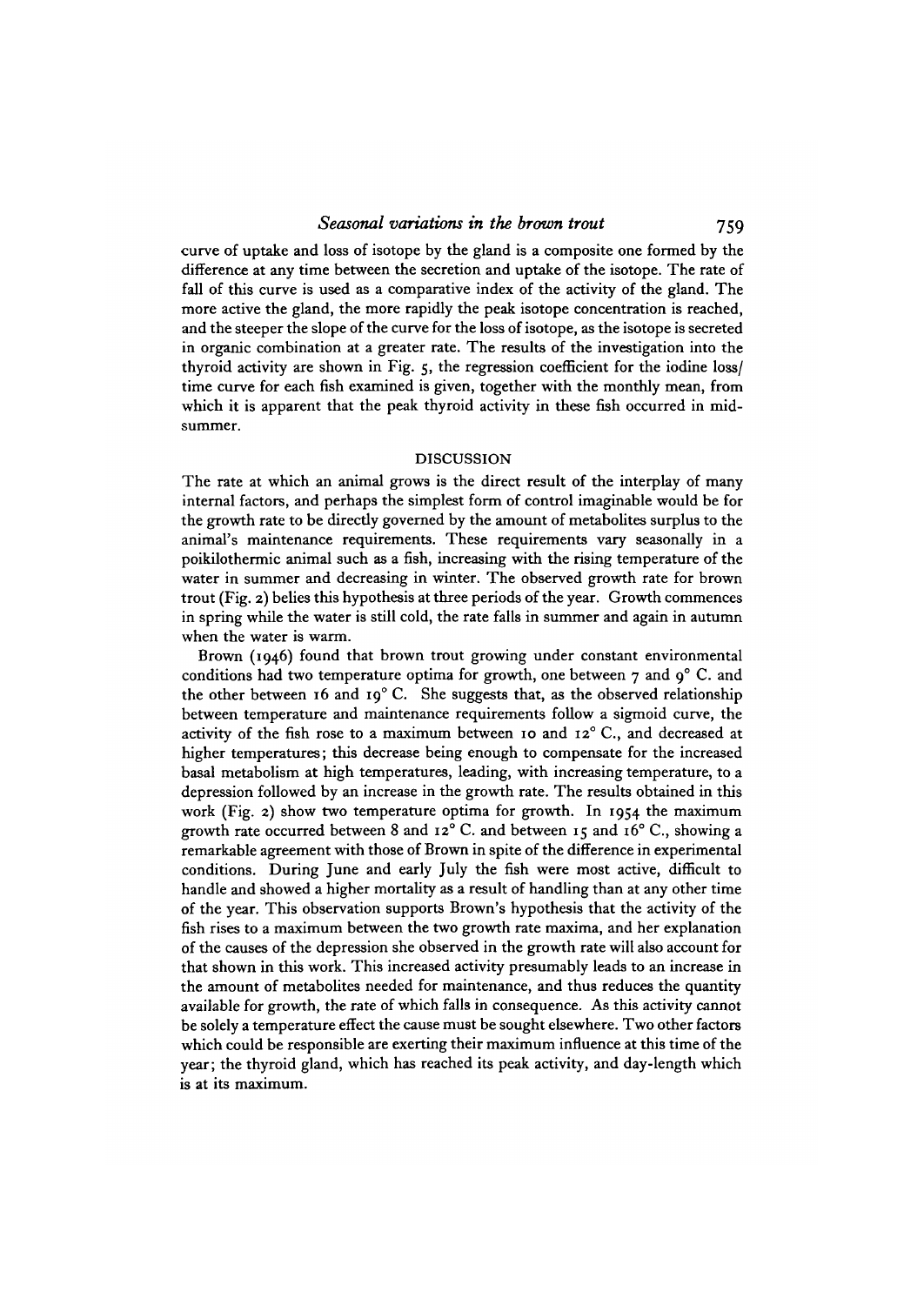curve of uptake and loss of isotope by the gland is a composite one formed by the difference at any time between the secretion and uptake of the isotope. The rate of fall of this curve is used as a comparative index of the activity of the gland. The more active the gland, the more rapidly the peak isotope concentration is reached, and the steeper the slope of the curve for the loss of isotope, as the isotope is secreted in organic combination at a greater rate. The results of the investigation into the thyroid activity are shown in Fig. 5, the regression coefficient for the iodine loss/ time curve for each fish examined is given, together with the monthly mean, from which it is apparent that the peak thyroid activity in these fish occurred in midsummer.

#### DISCUSSION

The rate at which an animal grows is the direct result of the interplay of many internal factors, and perhaps the simplest form of control imaginable would be for the growth rate to be directly governed by the amount of metabolites surplus to the animal's maintenance requirements. These requirements vary seasonally in a poikilothermic animal such as a fish, increasing with the rising temperature of the water in summer and decreasing in winter. The observed growth rate for brown trout (Fig. 2) belies this hypothesis at three periods of the year. Growth commences in spring while the water is still cold, the rate falls in summer and again in autumn when the water is warm.

Brown (1946) found that brown trout growing under constant environmental conditions had two temperature optima for growth, one between  $\tau$  and  $q^{\circ}$  C. and the other between 16 and 19° C. She suggests that, as the observed relationship between temperature and maintenance requirements follow a sigmoid curve, the activity of the fish rose to a maximum between 10 and 12° C., and decreased at higher temperatures; this decrease being enough to compensate for the increased basal metabolism at high temperatures, leading, with increasing temperature, to a depression followed by an increase in the growth rate. The results obtained in this work (Fig. 2) show two temperature optima for growth. In 1954 the maximum growth rate occurred between 8 and  $12^{\circ}$  C. and between 15 and 16° C., showing a remarkable agreement with those of Brown in spite of the difference in experimental conditions. During June and early July the fish were most active, difficult to handle and showed a higher mortality as a result of handling than at any other time of the year. This observation supports Brown's hypothesis that the activity of the fish rises to a maximum between the two growth rate maxima, and her explanation of the causes of the depression she observed in the growth rate will also account for that shown in this work. This increased activity presumably leads to an increase in the amount of metabolites needed for maintenance, and thus reduces the quantity available for growth, the rate of which falls in consequence. As this activity cannot be solely a temperature effect the cause must be sought elsewhere. Two other factors which could be responsible are exerting their maximum influence at this time of the year; the thyroid gland, which has reached its peak activity, and day-length which is at its maximum.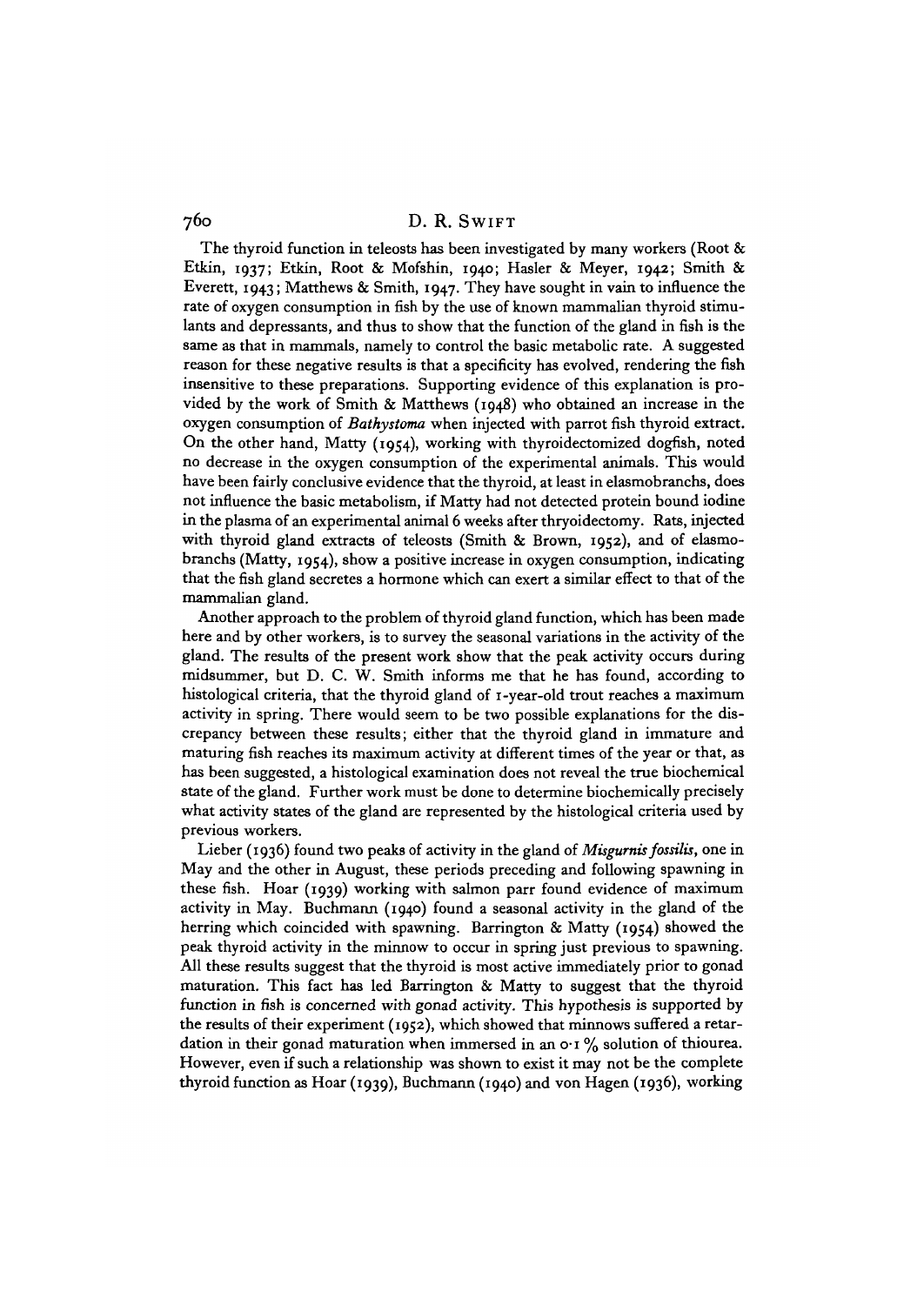The thyroid function in teleosts has been investigated by many workers (Root  $\&$ Etkin, 1937; Etkin, Root & Mofshin, 1940; Hasler & Meyer, 1942; Smith & Everett, 1943; Matthews & Smith, 1947. They have sought in vain to influence the rate of oxygen consumption in fish by the use of known mammalian thyroid stimulants and depressants, and thus to show that the function of the gland in fish is the same as that in mammals, namely to control the basic metabolic rate. A suggested reason for these negative results is that a specificity has evolved, rendering the fish insensitive to these preparations. Supporting evidence of this explanation is provided by the work of Smith & Matthews (1948) who obtained an increase in the oxygen consumption of *Bathystoma* when injected with parrot fish thyroid extract. On the other hand, Matty (1954), working with thyroidectomized dogfish, noted no decrease in the oxygen consumption of the experimental animals. This would have been fairly conclusive evidence that the thyroid, at least in elasmobranchs, does not influence the basic metabolism, if Matty had not detected protein bound iodine in the plasma of an experimental animal 6 weeks after thryoidectomy. Rats, injected with thyroid gland extracts of teleosts (Smith & Brown, 1952), and of elasmobranchs (Matty, 1954), show a positive increase in oxygen consumption, indicating that the fish gland secretes a hormone which can exert a similar effect to that of the mammalian gland.

Another approach to the problem of thyroid gland function, which has been made here and by other workers, is to survey the seasonal variations in the activity of the gland. The results of the present work show that the peak activity occurs during midsummer, but D. C. W. Smith informs me that he has found, according to histological criteria, that the thyroid gland of 1-year-old trout reaches a maximum activity in spring. There would seem to be two possible explanations for the discrepancy between these results; either that the thyroid gland in immature and maturing fish reaches its maximum activity at different times of the year or that, as has been suggested, a histological examination does not reveal the true biochemical state of the gland. Further work must be done to determine biochemically precisely what activity states of the gland are represented by the histological criteria used by previous workers.

Lieber (1936) found two peaks of activity in the gland of *Misgurnis fossilis,* one in May and the other in August, these periods preceding and following spawning in these fish. Hoar (1939) working with salmon parr found evidence of maximum activity in May. Buchmann (1940) found a seasonal activity in the gland of the herring which coincided with spawning. Barrington & Matty (1954) showed the peak thyroid activity in the minnow to occur in spring just previous to spawning. All these results suggest that the thyroid is most active immediately prior to gonad maturation. This fact has led Barrington & Matty to suggest that the thyroid function in fish is concerned with gonad activity. This hypothesis is supported by the results of their experiment (1952), which showed that minnows suffered a retardation in their gonad maturation when immersed in an  $\mathbf{o} \cdot \mathbf{r}$  % solution of thiourea. However, even if such a relationship was shown to exist it may not be the complete thyroid function as Hoar (1939), Buchmann (1940) and von Hagen (1936), working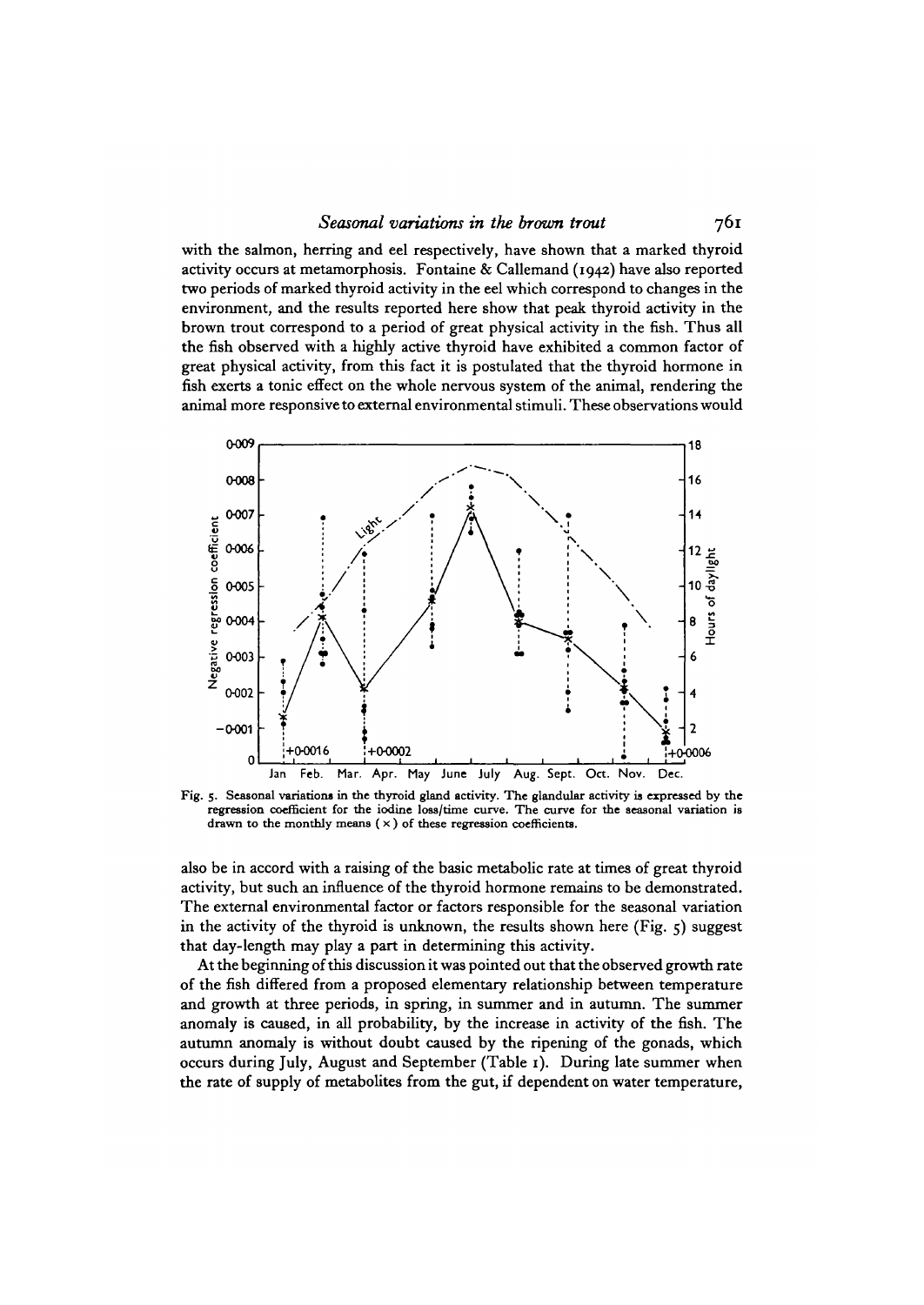#### *Seasonal variations in the brown trout* 761

with the salmon, herring and eel respectively, have shown that a marked thyroid activity occurs at metamorphosis. Fontaine & Callemand (1942) have also reported two periods of marked thyroid activity in the eel which correspond to changes in the environment, and the results reported here show that peak thyroid activity in the brown trout correspond to a period of great physical activity in the fish. Thus all the fish observed with a highly active thyroid have exhibited a common factor of great physical activity, from this fact it is postulated that the thyroid hormone in fish exerts a tonic effect on the whole nervous system of the animal, rendering the animal more responsive to external environmental stimuli. These observations would



Fig. 5. Seasonal variations in the thyroid gland activity. The glandular activity is expressed by the regression coefficient for the iodine loss/time curve. The curve for the seasonal variation is drawn to the monthly mea

also be in accord with a raising of the basic metabolic rate at times of great thyroid activity, but such an influence of the thyroid hormone remains to be demonstrated. The external environmental factor or factors responsible for the seasonal variation in the activity of the thyroid is unknown, the results shown here (Fig.  $\zeta$ ) suggest that day-length may play a part in determining this activity.

At the beginning of this discussion it was pointed out that the observed growth rate of the fish differed from a proposed elementary relationship between temperature and growth at three periods, in spring, in summer and in autumn. The summer anomaly is caused, in all probability, by the increase in activity of the fish. The autumn anomaly is without doubt caused by the ripening of the gonads, which occurs during July, August and September (Table 1). During late summer when the rate of supply of metabolites from the gut, if dependent on water temperature,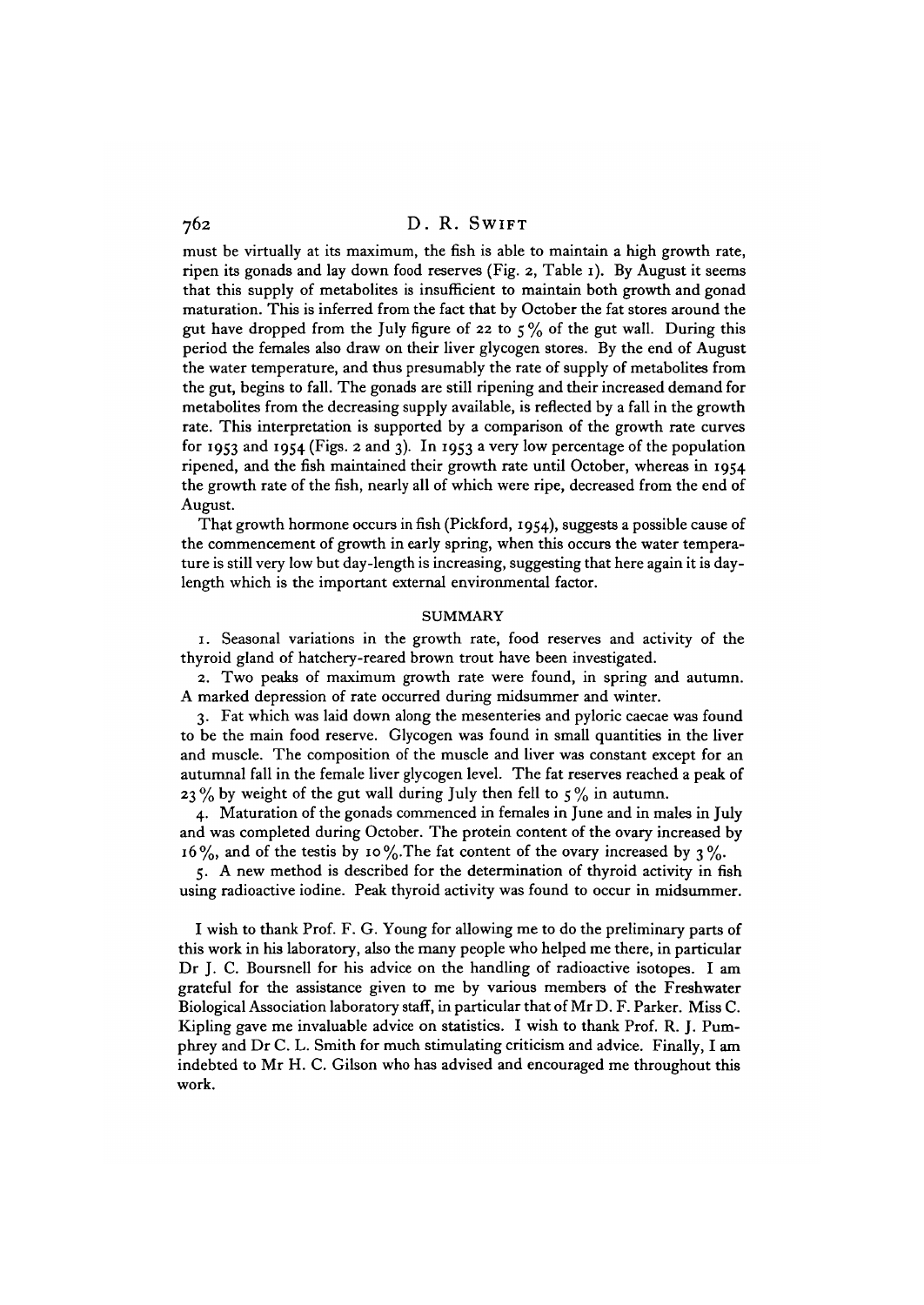must be virtually at its maximum, the fish is able to maintain a high growth rate, ripen its gonads and lay down food reserves (Fig. 2, Table 1). By August it seems that this supply of metabolites is insufficient to maintain both growth and gonad maturation. This is inferred from the fact that by October the fat stores around the gut have dropped from the July figure of 22 to  $5\%$  of the gut wall. During this period the females also draw on their liver glycogen stores. By the end of August the water temperature, and thus presumably the rate of supply of metabolites from the gut, begins to fall. The gonads are still ripening and their increased demand for metabolites from the decreasing supply available, is reflected by a fall in the growth rate. This interpretation is supported by a comparison of the growth rate curves for 1953 and 1954 (Figs. 2 and 3). In 1953 a very low percentage of the population ripened, and the fish maintained their growth rate until October, whereas in 1954 the growth rate of the fish, nearly all of which were ripe, decreased from the end of August.

That growth hormone occurs in fish (Pickford, 1954), suggests a possible cause of the commencement of growth in early spring, when this occurs the water temperature is still very low but day-length is increasing, suggesting that here again it is daylength which is the important external environmental factor.

#### SUMMARY

1. Seasonal variations in the growth rate, food reserves and activity of the thyroid gland of hatchery-reared brown trout have been investigated.

2. Two peaks of maximum growth rate were found, in spring and autumn. A marked depression of rate occurred during midsummer and winter.

3. Fat which was laid down along the mesenteries and pyloric caecae was found to be the main food reserve. Glycogen was found in small quantities in the liver and muscle. The composition of the muscle and liver was constant except for an autumnal fall in the female liver glycogen level. The fat reserves reached a peak of 23% by weight of the gut wall during July then fell to  $5\%$  in autumn.

4. Maturation of the gonads commenced in females in June and in males in July and was completed during October. The protein content of the ovary increased by  $16\%$ , and of the testis by 10%. The fat content of the ovary increased by 3%.

5. A new method is described for the determination of thyroid activity in fish using radioactive iodine. Peak thyroid activity was found to occur in midsummer.

I wish to thank Prof. F. G. Young for allowing me to do the preliminary parts of this work in his laboratory, also the many people who helped me there, in particular Dr J. C. Boursnell for his advice on the handling of radioactive isotopes. I am grateful for the assistance given to me by various members of the Freshwater Biological Association laboratory staff, in particular that of Mr D. F. Parker. Miss C. Kipling gave me invaluable advice on statistics. I wish to thank Prof. R. J. Pumphrey and Dr C. L. Smith for much stimulating criticism and advice. Finally, I am indebted to Mr H. C. Gilson who has advised and encouraged me throughout this work.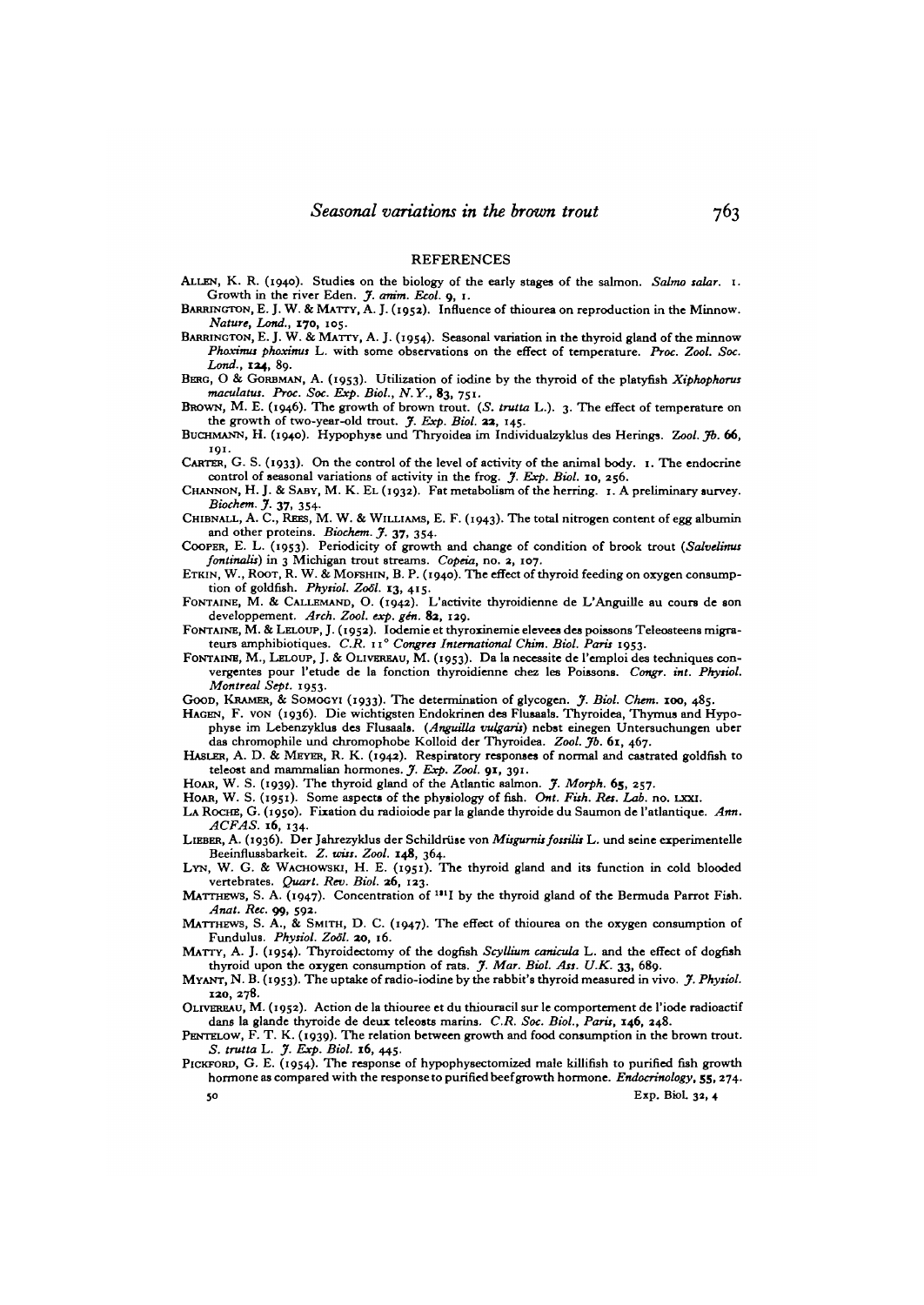#### **REFERENCES**

ALLEN, K. R. (1940). Studies on the biology of the early stages of the salmon. Salmo salar. I.<br>Growth in the river Eden. J. anim. Ecol. 9, 1.<br>BARRINGTON, E. J. W. & MATTY, A. J. (1952). Influence of thiourea on reproductio

*Phoximus phoximus* L. with some observations on the effect of temperature. *Proc. Zool. Soc.*<br>Lond., 124. 80.

*BERG, O & GORBMAN, A. (1953).* Utilization of iodine by the thyroid of the platyfish *Xiphophorus maculatus. Proc. Soc. Exp. Biol., N.Y.*, 83, 751.

**BROWN, M. E. (1946). The growth of brown trout.** (S. *trutta* L.). 3. The effect of temperature on the growth of two-year-old trout. *J. Exp. Biol.* **22,** 145.

the growth of two-year-old trout. *J. Exp. Biol.* **33,** 145. BUCHMANN, H. (1940). Hypophyse und Thryoidea im Individualzyklus des Herings. *Zool. jfb.* **66, 191.**

CARTER, G. S. (1933). On the control of the level of activity of the animal body. 1. The endocrine

control of seasonal variations of activity in the frog. *J. Exp. Biol.* 10, 256.<br>CHANNON, H. J. & SABY, M. K. EL (1932). Fat metabolism of the herring. 1. A preliminary survey.<br>Biochem. J. 37, 354.<br>CHIBNALL, A. C., REES, M

*fonttnalii)* in 3 Michigan trout streams. *Copeia,* no. 2, 107.

tion of goldfish. Physiol. Zool. 13, 415.<br>FONTAINE, M. & CALLEMAND, O. (1942). L'activite thyroidienne de L'Anguille au cours de son<br>developpement. Arch. Zool. exp. gén. 82, 129.

FONTAINE, M. & LELOUP, J. (1952). Iodemie et thyroxinemie elevees des poissons Teleosteens migra-<br>teurs amphibiotiques. C.R. 11<sup>°</sup> Congres International Chim. Biol. Paris 1953.

FONTAINE, M., LELOUP, J. & OLIVEREAU, M. (1953). Da la necessite de l'emploi des techniques convergentes pour l'etude de la fonction thyroidienne chez les Poissons. *Congr. int. Phytiol. Montreal Sept.* 1953.<br>Good, KRAMER, & SOMOGYI (1933). The determination of glycogen. J. Biol. Chem. 100, 485.

HAGEN, F. von (1936). Die wichtigsten Endokrinen des Flussals. Thyroidea, Thymus and Hypophyse im Lebenzyklus des Flussals. (Anguilla vulgaris) nebst einegen Untersuchungen uber das chromophile und chromophobe Kolloid der

HASLER, A. D. & MEYER, R. K. (1942). Respiratory responses of normal and castrated goldfish to teleost and mammalian hormones. *J. Exp. Zool.* 91, 391.<br>HOAR, W. S. (1939). The thyroid gland of the Atlantic salmon. *J. Morph.* 65, 257.

- HOAR, W. S. (1951). Some aspects of the physiology of fish. Ont. Fish. Res. Lab. no. LXXI.<br>LA ROCHE, G. (1950). Fixation du radioiode par la glande thyroide du Saumon de l'atlantique. Ann.<br>ACFAS. 16, 134.
- *ACFAS.* **16,** 134. LIEBER, A. (1936). Der Jahrezyklus der Schildrtise von *Misgumu fottilit* L. und seine experimentelle

LYN, W. G. & WACHOWSKI, H. E. (1951). The thyroid gland and its function in cold blooded vertebrates. *Quart. Rev. Biol.* **26**, 123.<br>MATTHEWS, S. A. (1947). Concentration of <sup>131</sup>I by the thyroid gland of the Bermuda Parrot Fish

*Anat. Rec.* 99, 592.<br>MATTHEWS, S. A., & SMITH, D. C. (1947). The effect of thiourea on the oxygen consumption of<br>Fundulus. Physiol. Zool. 20, 16.

MATTY, A. J. (1954). Thyroidectomy of the dogfish *Scyllium canicula* L. and the effect of dogfish thyroid upon the oxygen consumption of rats. *J. Mar. Biol. Ass. U.K.* 33, 689.

thyroid upon the oxygen consumption of rats. *J. Mar. Biol. Ait. U.K.* **33,** 689. MYANT, N. B. (1953). The uptake of radio-iodine by the rabbit's thyroid measured in vivo. *J. Phytiol. 110,* **278.**

OLIVEREAU, M. (1952). Action de la thiouree et du thiouracil sur le comportement de l'iode radioactif dans la glande thyroide de deux teleosts marins. C.R. Soc. Biol., Paris, 146, 248.

PENTELOW, F. T. K. (1939). The relation between growth and food consumption in the brown trout.<br>S. trutta L. J. Exp. Biol. 16, 445.<br>PICKFORD, G. E. (1954). The response of hypophysectomized male killifish to purified fish

hormone as compared with the response to purified beef growth hormone. *Endocrinology,* 55, 274.

 $50$  Exp. Biol. 32, 4